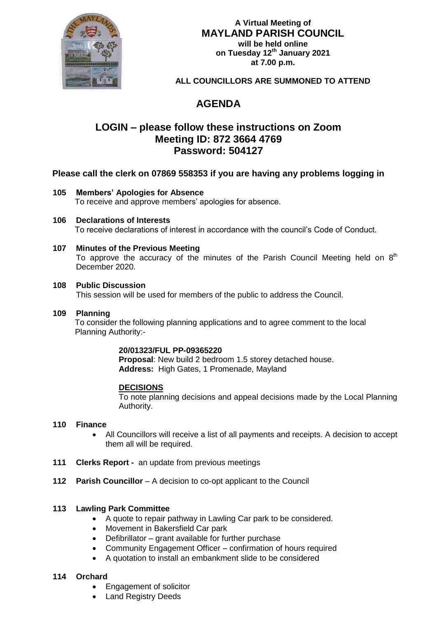

# **A Virtual Meeting of MAYLAND PARISH COUNCIL will be held online on Tuesday 12th January 2021 at 7.00 p.m.**

**ALL COUNCILLORS ARE SUMMONED TO ATTEND**

# **AGENDA**

# **LOGIN – please follow these instructions on Zoom Meeting ID: 872 3664 4769 Password: 504127**

# **Please call the clerk on 07869 558353 if you are having any problems logging in**

# **105 Members' Apologies for Absence**

To receive and approve members' apologies for absence.

# **106 Declarations of Interests**

To receive declarations of interest in accordance with the council's Code of Conduct.

# **107 Minutes of the Previous Meeting**

To approve the accuracy of the minutes of the Parish Council Meeting held on  $8<sup>th</sup>$ December 2020.

# **108 Public Discussion**

This session will be used for members of the public to address the Council.

### **109 Planning**

 To consider the following planning applications and to agree comment to the local Planning Authority:-

#### **20/01323/FUL PP-09365220**

**Proposal**: New build 2 bedroom 1.5 storey detached house. **Address:** High Gates, 1 Promenade, Mayland

# **DECISIONS**

To note planning decisions and appeal decisions made by the Local Planning Authority.

#### **110 Finance**

- All Councillors will receive a list of all payments and receipts. A decision to accept them all will be required.
- **111 Clerks Report** an update from previous meetings
- **112 Parish Councillor** A decision to co-opt applicant to the Council

# **113 Lawling Park Committee**

- A quote to repair pathway in Lawling Car park to be considered.
- Movement in Bakersfield Car park
- Defibrillator grant available for further purchase
- Community Engagement Officer confirmation of hours required
- A quotation to install an embankment slide to be considered

# **114 Orchard**

- Engagement of solicitor
- Land Registry Deeds